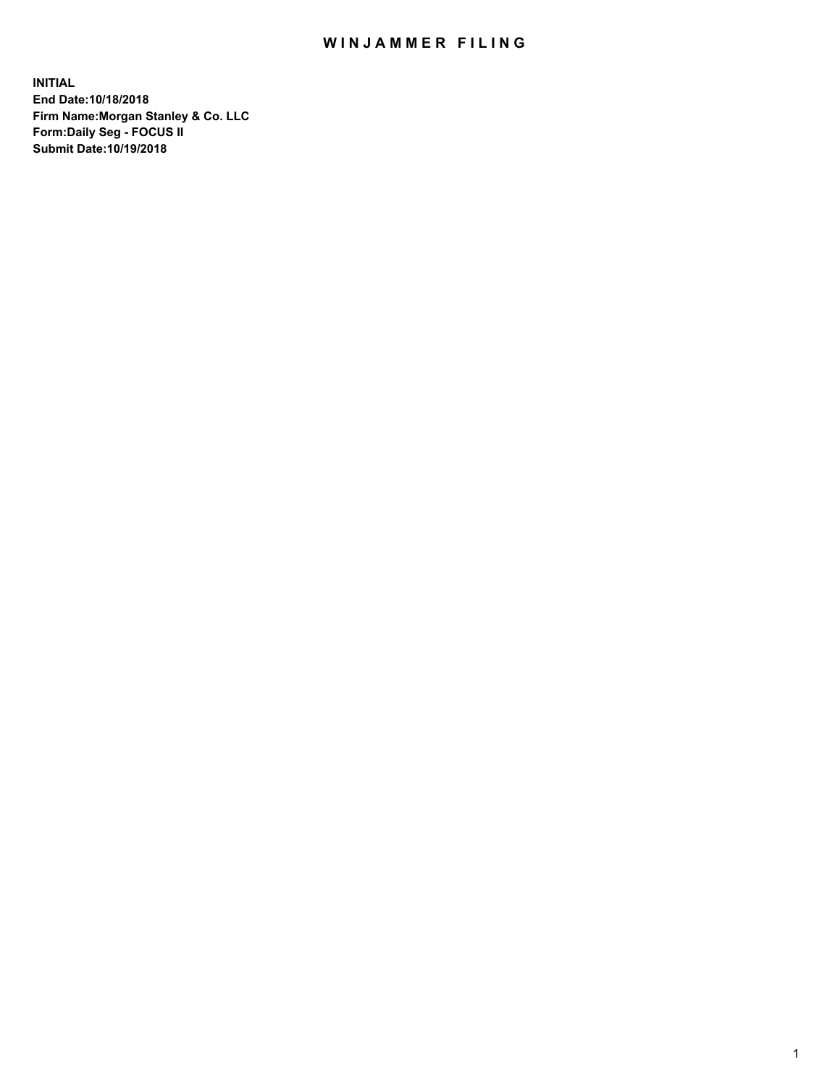## WIN JAMMER FILING

**INITIAL End Date:10/18/2018 Firm Name:Morgan Stanley & Co. LLC Form:Daily Seg - FOCUS II Submit Date:10/19/2018**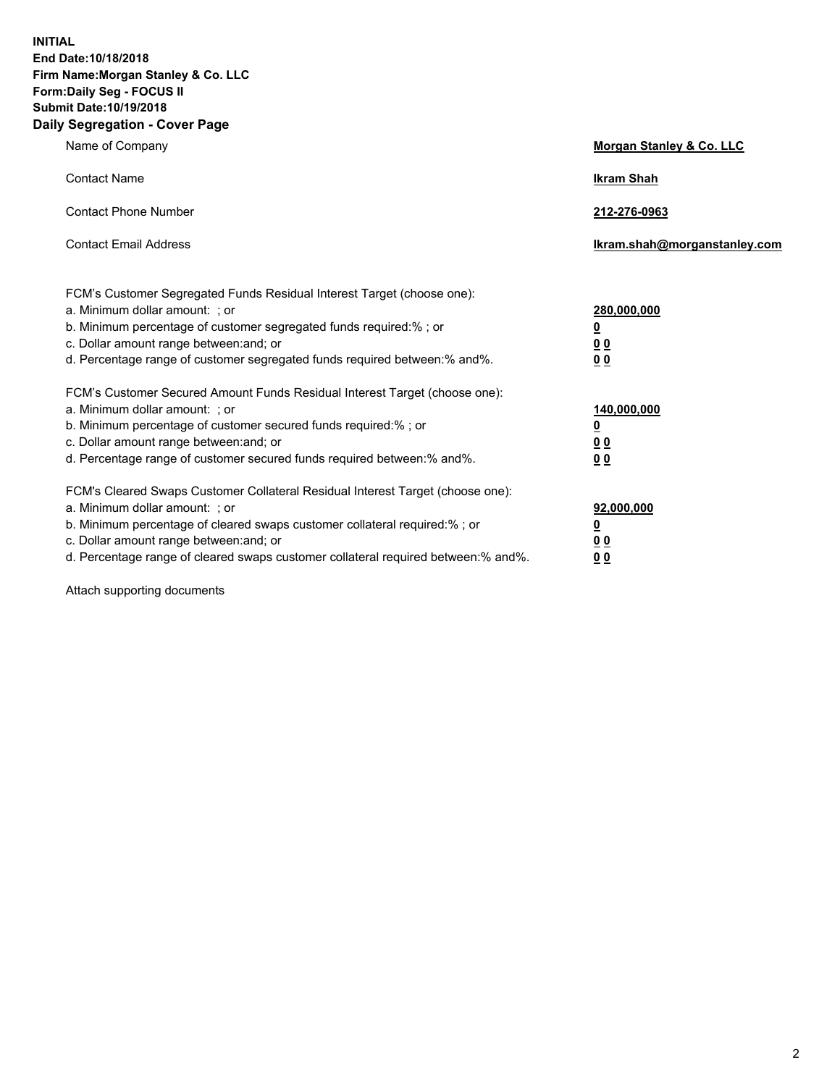**INITIAL End Date:10/18/2018 Firm Name:Morgan Stanley & Co. LLC Form:Daily Seg - FOCUS II Submit Date:10/19/2018 Daily Segregation - Cover Page**

| Name of Company                                                                                                        | Morgan Stanley & Co. LLC     |
|------------------------------------------------------------------------------------------------------------------------|------------------------------|
| <b>Contact Name</b>                                                                                                    | <b>Ikram Shah</b>            |
| <b>Contact Phone Number</b>                                                                                            | 212-276-0963                 |
| <b>Contact Email Address</b>                                                                                           | Ikram.shah@morganstanley.com |
| FCM's Customer Segregated Funds Residual Interest Target (choose one):                                                 |                              |
| a. Minimum dollar amount: ; or                                                                                         | 280,000,000                  |
| b. Minimum percentage of customer segregated funds required:% ; or                                                     | <u>0</u>                     |
| c. Dollar amount range between: and; or<br>d. Percentage range of customer segregated funds required between: % and %. | <u>0 0</u><br>0 Q            |
| FCM's Customer Secured Amount Funds Residual Interest Target (choose one):                                             |                              |
| a. Minimum dollar amount: ; or                                                                                         | 140,000,000                  |
| b. Minimum percentage of customer secured funds required:%; or                                                         | <u>0</u>                     |
| c. Dollar amount range between: and; or                                                                                | 0 <sub>0</sub>               |
| d. Percentage range of customer secured funds required between:% and%.                                                 | 0 <sub>0</sub>               |
| FCM's Cleared Swaps Customer Collateral Residual Interest Target (choose one):                                         |                              |
| a. Minimum dollar amount: ; or                                                                                         | 92,000,000                   |
| b. Minimum percentage of cleared swaps customer collateral required:% ; or                                             | <u>0</u>                     |
| c. Dollar amount range between: and; or                                                                                | 0 Q                          |
| d. Percentage range of cleared swaps customer collateral required between:% and%.                                      | 00                           |

Attach supporting documents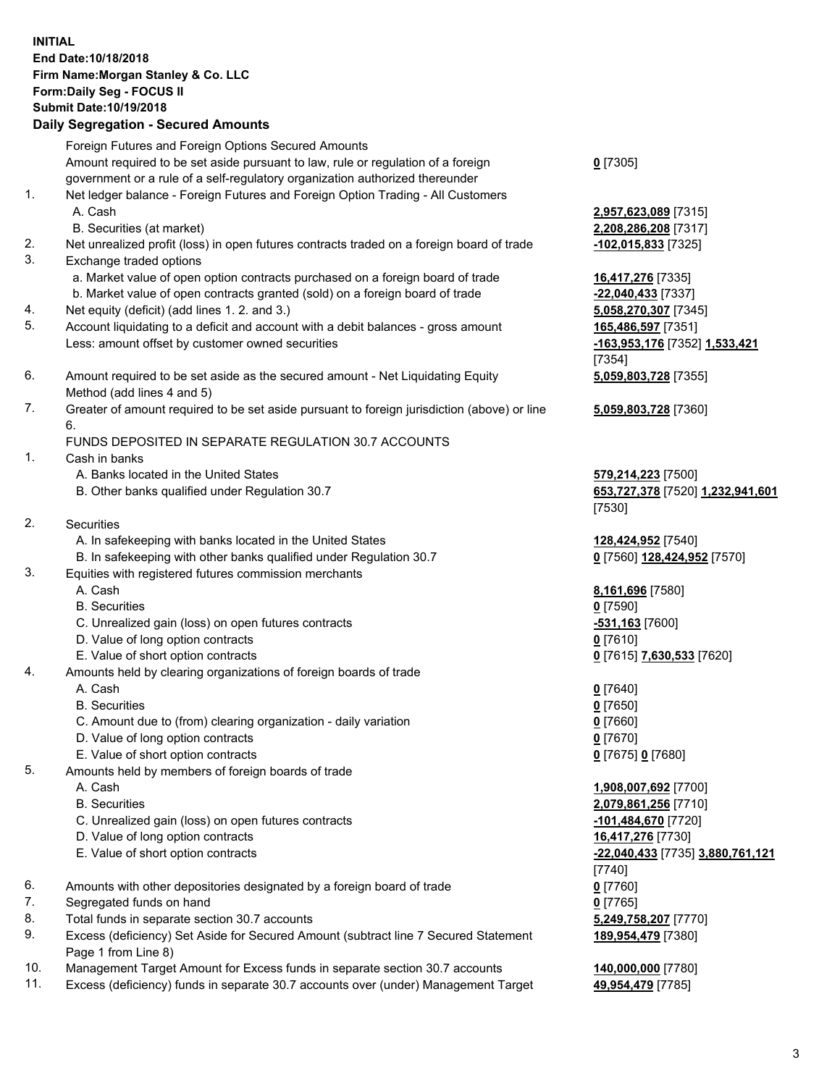## **INITIAL End Date:10/18/2018 Firm Name:Morgan Stanley & Co. LLC Form:Daily Seg - FOCUS II Submit Date:10/19/2018**

## **Daily Segregation - Secured Amounts**

Foreign Futures and Foreign Options Secured Amounts Amount required to be set aside pursuant to law, rule or regulation of a foreign government or a rule of a self-regulatory organization authorized thereunder 1. Net ledger balance - Foreign Futures and Foreign Option Trading - All Customers A. Cash **2,957,623,089** [7315] B. Securities (at market) **2,208,286,208** [7317] 2. Net unrealized profit (loss) in open futures contracts traded on a foreign board of trade **-102,015,833** [7325] 3. Exchange traded options a. Market value of open option contracts purchased on a foreign board of trade **16,417,276** [7335] b. Market value of open contracts granted (sold) on a foreign board of trade **-22,040,433** [7337] 4. Net equity (deficit) (add lines 1. 2. and 3.) **5,058,270,307** [7345] 5. Account liquidating to a deficit and account with a debit balances - gross amount **165,486,597** [7351]

- Less: amount offset by customer owned securities **-163,953,176** [7352] **1,533,421**
- 6. Amount required to be set aside as the secured amount Net Liquidating Equity Method (add lines 4 and 5)
- 7. Greater of amount required to be set aside pursuant to foreign jurisdiction (above) or line 6.

## FUNDS DEPOSITED IN SEPARATE REGULATION 30.7 ACCOUNTS

- 1. Cash in banks
	- A. Banks located in the United States **579,214,223** [7500]
	- B. Other banks qualified under Regulation 30.7 **653,727,378** [7520] **1,232,941,601**
- 2. Securities
	- A. In safekeeping with banks located in the United States **128,424,952** [7540]
	- B. In safekeeping with other banks qualified under Regulation 30.7 **0** [7560] **128,424,952** [7570]
- 3. Equities with registered futures commission merchants
	-
	- B. Securities **0** [7590]
	- C. Unrealized gain (loss) on open futures contracts **-531,163** [7600]
	- D. Value of long option contracts **0** [7610]
- E. Value of short option contracts **0** [7615] **7,630,533** [7620]
- 4. Amounts held by clearing organizations of foreign boards of trade
	- A. Cash **0** [7640]
	- B. Securities **0** [7650]
	- C. Amount due to (from) clearing organization daily variation **0** [7660]
	- D. Value of long option contracts **0** [7670]
	- E. Value of short option contracts **0** [7675] **0** [7680]
- 5. Amounts held by members of foreign boards of trade
	-
	-
	- C. Unrealized gain (loss) on open futures contracts **-101,484,670** [7720]
	- D. Value of long option contracts **16,417,276** [7730]
	- E. Value of short option contracts **-22,040,433** [7735] **3,880,761,121**
- 6. Amounts with other depositories designated by a foreign board of trade **0** [7760]
- 7. Segregated funds on hand **0** [7765]
- 8. Total funds in separate section 30.7 accounts **5,249,758,207** [7770]
- 9. Excess (deficiency) Set Aside for Secured Amount (subtract line 7 Secured Statement Page 1 from Line 8)
- 10. Management Target Amount for Excess funds in separate section 30.7 accounts **140,000,000** [7780]
- 11. Excess (deficiency) funds in separate 30.7 accounts over (under) Management Target **49,954,479** [7785]

**0** [7305]

[7354] **5,059,803,728** [7355]

**5,059,803,728** [7360]

[7530]

A. Cash **8,161,696** [7580]

 A. Cash **1,908,007,692** [7700] B. Securities **2,079,861,256** [7710] [7740] **189,954,479** [7380]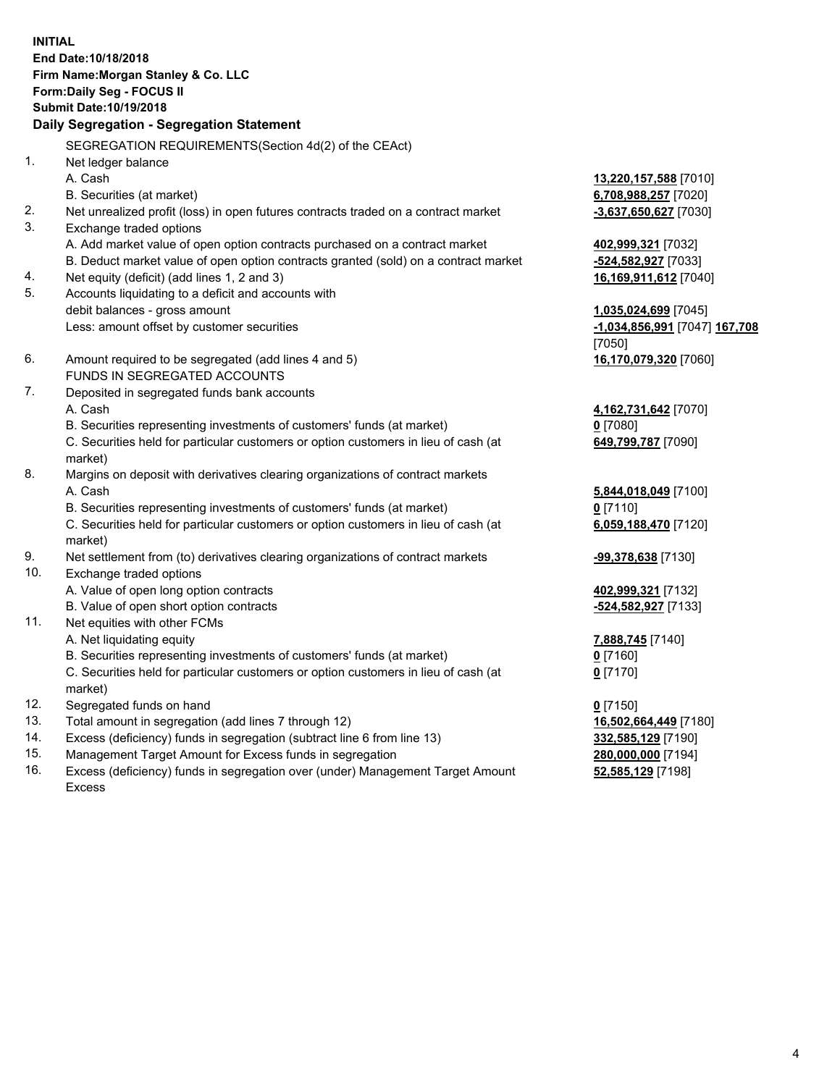**INITIAL End Date:10/18/2018 Firm Name:Morgan Stanley & Co. LLC Form:Daily Seg - FOCUS II Submit Date:10/19/2018 Daily Segregation - Segregation Statement** SEGREGATION REQUIREMENTS(Section 4d(2) of the CEAct) 1. Net ledger balance A. Cash **13,220,157,588** [7010] B. Securities (at market) **6,708,988,257** [7020] 2. Net unrealized profit (loss) in open futures contracts traded on a contract market **-3,637,650,627** [7030] 3. Exchange traded options A. Add market value of open option contracts purchased on a contract market **402,999,321** [7032] B. Deduct market value of open option contracts granted (sold) on a contract market **-524,582,927** [7033] 4. Net equity (deficit) (add lines 1, 2 and 3) **16,169,911,612** [7040] 5. Accounts liquidating to a deficit and accounts with debit balances - gross amount **1,035,024,699** [7045] Less: amount offset by customer securities **-1,034,856,991** [7047] **167,708** [7050] 6. Amount required to be segregated (add lines 4 and 5) **16,170,079,320** [7060] FUNDS IN SEGREGATED ACCOUNTS 7. Deposited in segregated funds bank accounts A. Cash **4,162,731,642** [7070] B. Securities representing investments of customers' funds (at market) **0** [7080] C. Securities held for particular customers or option customers in lieu of cash (at market) **649,799,787** [7090] 8. Margins on deposit with derivatives clearing organizations of contract markets A. Cash **5,844,018,049** [7100] B. Securities representing investments of customers' funds (at market) **0** [7110] C. Securities held for particular customers or option customers in lieu of cash (at market) **6,059,188,470** [7120] 9. Net settlement from (to) derivatives clearing organizations of contract markets **-99,378,638** [7130] 10. Exchange traded options A. Value of open long option contracts **402,999,321** [7132] B. Value of open short option contracts **and the set of our of the set of our of the set of our of the set of the set of the set of the set of the set of the set of the set of the set of the set of the set of the set of th** 11. Net equities with other FCMs A. Net liquidating equity **7,888,745** [7140] B. Securities representing investments of customers' funds (at market) **0** [7160] C. Securities held for particular customers or option customers in lieu of cash (at market) **0** [7170] 12. Segregated funds on hand **0** [7150] 13. Total amount in segregation (add lines 7 through 12) **16,502,664,449** [7180] 14. Excess (deficiency) funds in segregation (subtract line 6 from line 13) **332,585,129** [7190]

- 15. Management Target Amount for Excess funds in segregation **280,000,000** [7194]
- 16. Excess (deficiency) funds in segregation over (under) Management Target Amount Excess

**52,585,129** [7198]